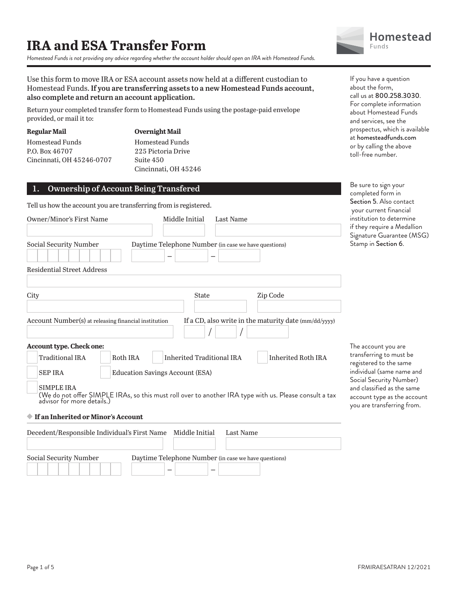*Homestead Funds is not providing any advice regarding whether the account holder should open an IRA with Homestead Funds.*



Use this form to move IRA or ESA account assets now held at a different custodian to Homestead Funds. **If you are transferring assets to a new Homestead Funds account, also complete and return an account application.**

Return your completed transfer form to Homestead Funds using the postage-paid envelope provided, or mail it to:

**Regular Mail** Homestead Funds P.O. Box 46707 Cincinnati, OH 45246-0707 **Overnight Mail** Homestead Funds 225 Pictoria Drive Suite 450 Cincinnati, OH 45246

## **1. Ownership of Account Being Transfered**

Tell us how the account you are transferring from is registered.

| Owner/Minor's First Name                                                         | Middle Initial<br><b>Last Name</b>                                 |                                                                                                                                      |  |  |
|----------------------------------------------------------------------------------|--------------------------------------------------------------------|--------------------------------------------------------------------------------------------------------------------------------------|--|--|
|                                                                                  |                                                                    |                                                                                                                                      |  |  |
| Social Security Number                                                           | Daytime Telephone Number (in case we have questions)               |                                                                                                                                      |  |  |
| <b>Residential Street Address</b>                                                |                                                                    |                                                                                                                                      |  |  |
|                                                                                  |                                                                    |                                                                                                                                      |  |  |
| City                                                                             | <b>State</b>                                                       | Zip Code                                                                                                                             |  |  |
| Account Number(s) at releasing financial institution<br>Account type. Check one: |                                                                    | If a CD, also write in the maturity date (mm/dd/yyyy)                                                                                |  |  |
| Traditional IRA                                                                  | Roth IRA<br><b>Inherited Traditional IRA</b><br>Inherited Roth IRA |                                                                                                                                      |  |  |
| <b>SEP IRA</b>                                                                   | <b>Education Savings Account (ESA)</b>                             |                                                                                                                                      |  |  |
| <b>SIMPLE IRA</b>                                                                |                                                                    | (We do not offer SIMPLE IRAs, so this must roll over to another IRA type with us. Please consult a tax<br>advisor for more details.) |  |  |
| ♦ If an Inherited or Minor's Account                                             |                                                                    |                                                                                                                                      |  |  |
| Decedent/Responsible Individual's First Name                                     | Middle Initial                                                     | Last Name                                                                                                                            |  |  |

– –

Social Security Number Daytime Telephone Number (in case we have questions)

If you have a question about the form, call us at 800.258.3030. For complete information about Homestead Funds and services, see the prospectus, which is available at homesteadfunds.com or by calling the above toll-free number.

Be sure to sign your completed form in Section 5. Also contact your current financial institution to determine if they require a Medallion Signature Guarantee (MSG) Stamp in Section 6.

The account you are transferring to must be registered to the same individual (same name and Social Security Number) and classified as the same account type as the account you are transferring from.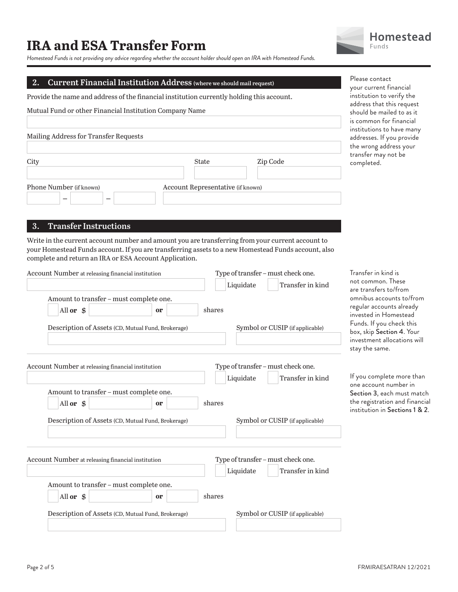*Homestead Funds is not providing any advice regarding whether the account holder should open an IRA with Homestead Funds.*

## **2. Current Financial Institution Address (where we should mail request)**

Provide the name and address of the financial institution currently holding this account.

Mutual Fund or other Financial Institution Company Name

| Mailing Address for Transfer Requests |                                   |          |
|---------------------------------------|-----------------------------------|----------|
| City                                  | <b>State</b>                      | Zip Code |
| Phone Number (if known)               | Account Representative (if known) |          |

### **3. Transfer Instructions**

Write in the current account number and amount you are transferring from your current account to your Homestead Funds account. If you are transferring assets to a new Homestead Funds account, also complete and return an IRA or ESA Account Application.

| Account Number at releasing financial institution  |    | Type of transfer - must check one. |                                                        |  |
|----------------------------------------------------|----|------------------------------------|--------------------------------------------------------|--|
|                                                    |    | Liquidate                          | Transfer in kind                                       |  |
| Amount to transfer - must complete one.            |    |                                    |                                                        |  |
| All or \$                                          | or | shares                             |                                                        |  |
| Description of Assets (CD, Mutual Fund, Brokerage) |    |                                    | Symbol or CUSIP (if applicable)                        |  |
| Account Number at releasing financial institution  |    | Liquidate                          | Type of transfer - must check one.<br>Transfer in kind |  |
| Amount to transfer - must complete one.            |    |                                    |                                                        |  |
| All or $$$                                         | or | shares                             |                                                        |  |
| Description of Assets (CD, Mutual Fund, Brokerage) |    |                                    | Symbol or CUSIP (if applicable)                        |  |
| Account Number at releasing financial institution  |    | Liquidate                          | Type of transfer - must check one.<br>Transfer in kind |  |
| Amount to transfer - must complete one.            |    |                                    |                                                        |  |
| All or \$                                          | or | shares                             |                                                        |  |
| Description of Assets (CD, Mutual Fund, Brokerage) |    |                                    | Symbol or CUSIP (if applicable)                        |  |
|                                                    |    |                                    |                                                        |  |

**Homestead Funds** 

Please contact your current financial institution to verify the address that this request should be mailed to as it is common for financial institutions to have many addresses. If you provide the wrong address your transfer may not be completed.

Transfer in kind is not common. These are transfers to/from omnibus accounts to/from regular accounts already invested in Homestead Funds. If you check this box, skip Section 4. Your investment allocations will stay the same.

If you complete more than one account number in Section 3, each must match the registration and financial institution in Sections 1 & 2.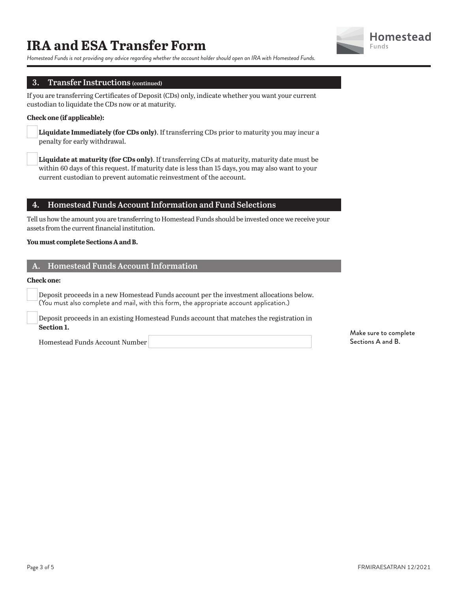

*Homestead Funds is not providing any advice regarding whether the account holder should open an IRA with Homestead Funds.*

## **3. Transfer Instructions (continued)**

If you are transferring Certificates of Deposit (CDs) only, indicate whether you want your current custodian to liquidate the CDs now or at maturity.

#### **Check one (if applicable):**

**Liquidate Immediately (for CDs only)**. If transferring CDs prior to maturity you may incur a penalty for early withdrawal.

**Liquidate at maturity (for CDs only)**. If transferring CDs at maturity, maturity date must be within 60 days of this request. If maturity date is less than 15 days, you may also want to your current custodian to prevent automatic reinvestment of the account.

## **4. Homestead Funds Account Information and Fund Selections**

Tell us how the amount you are transferring to Homestead Funds should be invested once we receive your assets from the current financial institution.

#### **You must complete Sections A and B.**

## **A. Homestead Funds Account Information**

#### **Check one:**

 Deposit proceeds in a new Homestead Funds account per the investment allocations below. (You must also complete and mail, with this form, the appropriate account application.)

 Deposit proceeds in an existing Homestead Funds account that matches the registration in **Section 1.**

Homestead Funds Account Number

Make sure to complete Sections A and B.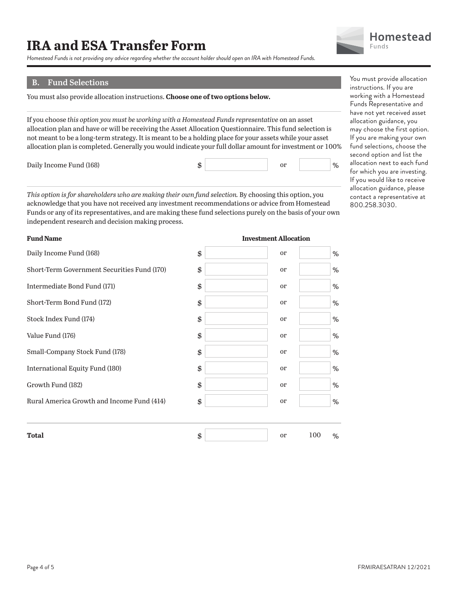*Homestead Funds is not providing any advice regarding whether the account holder should open an IRA with Homestead Funds.*

## **B. Fund Selections**

You must also provide allocation instructions. **Choose one of two options below.**

If you choose *this option you must be working with a Homestead Funds representative* on an asset allocation plan and have or will be receiving the Asset Allocation Questionnaire. This fund selection is not meant to be a long-term strategy. It is meant to be a holding place for your assets while your asset allocation plan is completed. Generally you would indicate your full dollar amount for investment or 100%

Daily Income Fund (168)

*This option is for shareholders who are making their own fund selection.* By choosing this option, you acknowledge that you have not received any investment recommendations or advice from Homestead Funds or any of its representatives, and are making these fund selections purely on the basis of your own independent research and decision making process.

| <b>Total</b>                                | \$<br>100<br><sub>or</sub> | % |
|---------------------------------------------|----------------------------|---|
|                                             |                            |   |
| Rural America Growth and Income Fund (414)  | \$<br><sub>or</sub>        | % |
| Growth Fund (182)                           | \$<br><sub>or</sub>        | % |
| International Equity Fund (180)             | \$<br><sub>or</sub>        | % |
| Small-Company Stock Fund (178)              | \$<br><sub>or</sub>        | % |
| Value Fund (176)                            | \$<br><sub>or</sub>        | % |
| Stock Index Fund (174)                      | \$<br><sub>or</sub>        | % |
| Short-Term Bond Fund (172)                  | \$<br>or                   | % |
| Intermediate Bond Fund (171)                | \$<br><sub>or</sub>        | % |
| Short-Term Government Securities Fund (170) | \$<br><sub>or</sub>        | % |
| Daily Income Fund (168)                     | \$<br><sub>or</sub>        | % |
|                                             |                            |   |

**Investment Allocation**